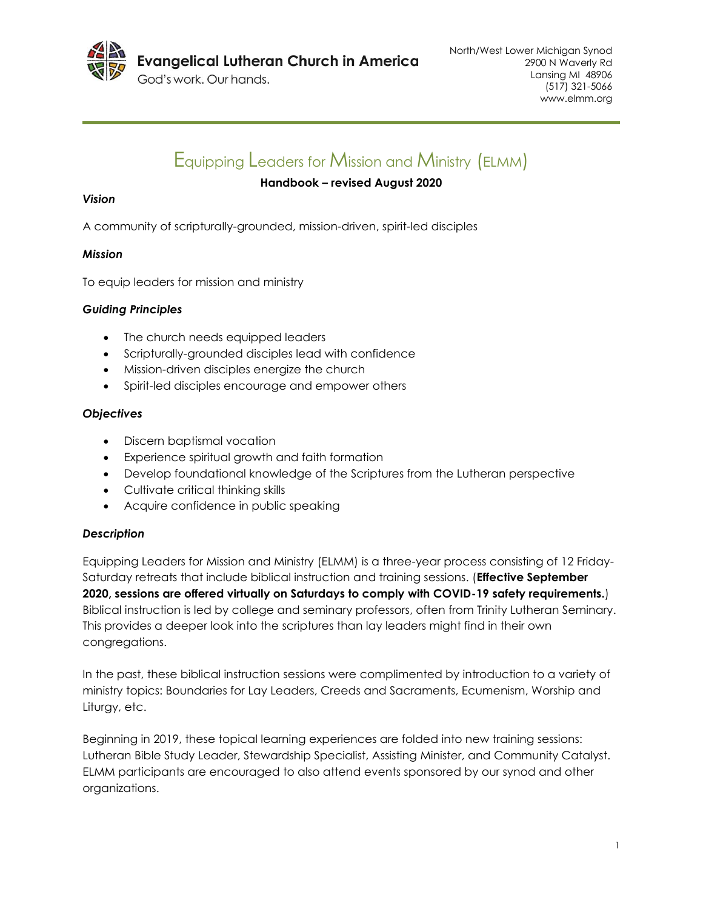

God's work, Our hands.

# Equipping Leaders for Mission and Ministry (ELMM)

# **Handbook – revised August 2020**

# *Vision*

A community of scripturally-grounded, mission-driven, spirit-led disciples

# *Mission*

To equip leaders for mission and ministry

# *Guiding Principles*

- The church needs equipped leaders
- Scripturally-grounded disciples lead with confidence
- Mission-driven disciples energize the church
- Spirit-led disciples encourage and empower others

# *Objectives*

- Discern baptismal vocation
- Experience spiritual growth and faith formation
- Develop foundational knowledge of the Scriptures from the Lutheran perspective
- Cultivate critical thinking skills
- Acquire confidence in public speaking

# *Description*

Equipping Leaders for Mission and Ministry (ELMM) is a three-year process consisting of 12 Friday-Saturday retreats that include biblical instruction and training sessions. (**Effective September 2020, sessions are offered virtually on Saturdays to comply with COVID-19 safety requirements.**) Biblical instruction is led by college and seminary professors, often from Trinity Lutheran Seminary. This provides a deeper look into the scriptures than lay leaders might find in their own congregations.

In the past, these biblical instruction sessions were complimented by introduction to a variety of ministry topics: Boundaries for Lay Leaders, Creeds and Sacraments, Ecumenism, Worship and Liturgy, etc.

Beginning in 2019, these topical learning experiences are folded into new training sessions: Lutheran Bible Study Leader, Stewardship Specialist, Assisting Minister, and Community Catalyst. ELMM participants are encouraged to also attend events sponsored by our synod and other organizations.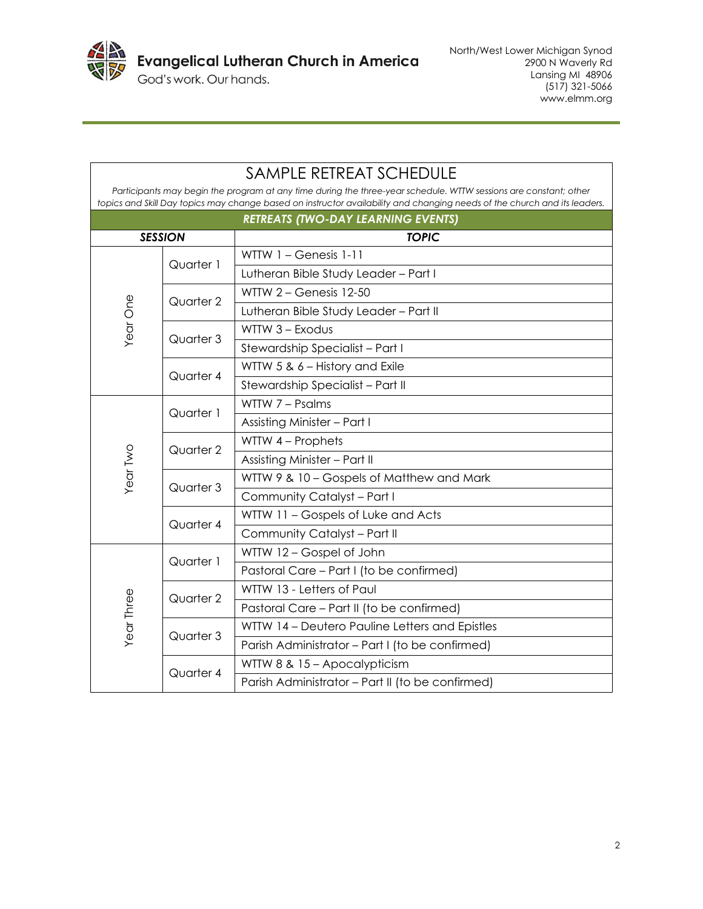

| <b>SAMPLE RETREAT SCHEDULE</b>                                                                                                                                                                                                                |           |                                                  |
|-----------------------------------------------------------------------------------------------------------------------------------------------------------------------------------------------------------------------------------------------|-----------|--------------------------------------------------|
| Participants may begin the program at any time during the three-year schedule. WTTW sessions are constant; other<br>topics and Skill Day topics may change based on instructor availability and changing needs of the church and its leaders. |           |                                                  |
| <b>RETREATS (TWO-DAY LEARNING EVENTS)</b>                                                                                                                                                                                                     |           |                                                  |
| <b>SESSION</b>                                                                                                                                                                                                                                |           | <b>TOPIC</b>                                     |
| Year One                                                                                                                                                                                                                                      |           | WTTW 1 - Genesis 1-11                            |
|                                                                                                                                                                                                                                               | Quarter 1 | Lutheran Bible Study Leader - Part I             |
|                                                                                                                                                                                                                                               |           | WTTW 2 - Genesis 12-50                           |
|                                                                                                                                                                                                                                               | Quarter 2 | Lutheran Bible Study Leader - Part II            |
|                                                                                                                                                                                                                                               | Quarter 3 | WTTW 3 - Exodus                                  |
|                                                                                                                                                                                                                                               |           | Stewardship Specialist - Part I                  |
|                                                                                                                                                                                                                                               | Quarter 4 | WTTW 5 & 6 - History and Exile                   |
|                                                                                                                                                                                                                                               |           | Stewardship Specialist - Part II                 |
| Year Two                                                                                                                                                                                                                                      | Quarter 1 | WTTW 7 - Psalms                                  |
|                                                                                                                                                                                                                                               |           | Assisting Minister - Part I                      |
|                                                                                                                                                                                                                                               | Quarter 2 | WTTW 4 - Prophets                                |
|                                                                                                                                                                                                                                               |           | Assisting Minister - Part II                     |
|                                                                                                                                                                                                                                               |           | WTTW 9 & 10 - Gospels of Matthew and Mark        |
|                                                                                                                                                                                                                                               | Quarter 3 | Community Catalyst - Part I                      |
|                                                                                                                                                                                                                                               | Quarter 4 | WTTW 11 - Gospels of Luke and Acts               |
|                                                                                                                                                                                                                                               |           | Community Catalyst - Part II                     |
| Year Three                                                                                                                                                                                                                                    | Quarter 1 | WTTW 12 - Gospel of John                         |
|                                                                                                                                                                                                                                               |           | Pastoral Care - Part I (to be confirmed)         |
|                                                                                                                                                                                                                                               | Quarter 2 | WTTW 13 - Letters of Paul                        |
|                                                                                                                                                                                                                                               |           | Pastoral Care - Part II (to be confirmed)        |
|                                                                                                                                                                                                                                               | Quarter 3 | WTTW 14 - Deutero Pauline Letters and Epistles   |
|                                                                                                                                                                                                                                               |           | Parish Administrator - Part I (to be confirmed)  |
|                                                                                                                                                                                                                                               | Quarter 4 | WTTW 8 & 15 - Apocalypticism                     |
|                                                                                                                                                                                                                                               |           | Parish Administrator - Part II (to be confirmed) |

# SAMPLE RETREAT SCHEDULE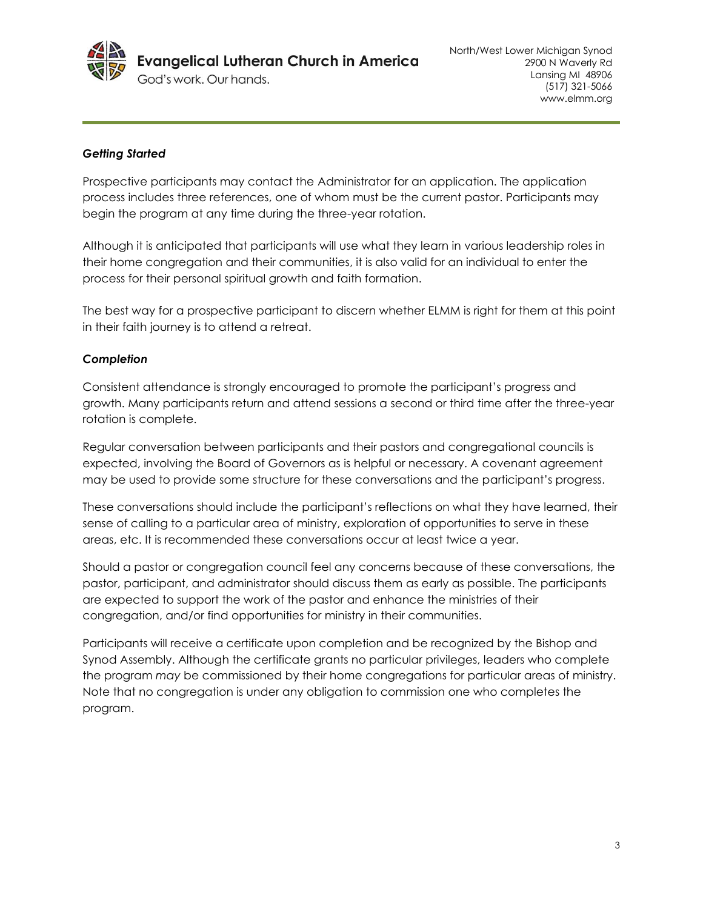

### *Getting Started*

Prospective participants may contact the Administrator for an application. The application process includes three references, one of whom must be the current pastor. Participants may begin the program at any time during the three-year rotation.

Although it is anticipated that participants will use what they learn in various leadership roles in their home congregation and their communities, it is also valid for an individual to enter the process for their personal spiritual growth and faith formation.

The best way for a prospective participant to discern whether ELMM is right for them at this point in their faith journey is to attend a retreat.

### *Completion*

Consistent attendance is strongly encouraged to promote the participant's progress and growth. Many participants return and attend sessions a second or third time after the three-year rotation is complete.

Regular conversation between participants and their pastors and congregational councils is expected, involving the Board of Governors as is helpful or necessary. A covenant agreement may be used to provide some structure for these conversations and the participant's progress.

These conversations should include the participant's reflections on what they have learned, their sense of calling to a particular area of ministry, exploration of opportunities to serve in these areas, etc. It is recommended these conversations occur at least twice a year.

Should a pastor or congregation council feel any concerns because of these conversations, the pastor, participant, and administrator should discuss them as early as possible. The participants are expected to support the work of the pastor and enhance the ministries of their congregation, and/or find opportunities for ministry in their communities.

Participants will receive a certificate upon completion and be recognized by the Bishop and Synod Assembly. Although the certificate grants no particular privileges, leaders who complete the program *may* be commissioned by their home congregations for particular areas of ministry. Note that no congregation is under any obligation to commission one who completes the program.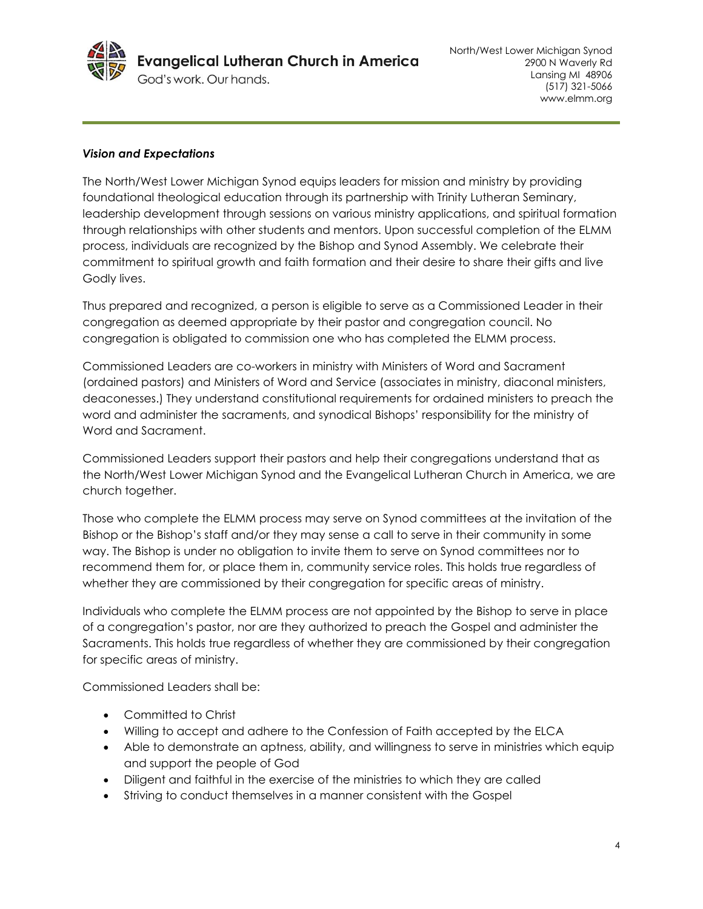

### *Vision and Expectations*

The North/West Lower Michigan Synod equips leaders for mission and ministry by providing foundational theological education through its partnership with Trinity Lutheran Seminary, leadership development through sessions on various ministry applications, and spiritual formation through relationships with other students and mentors. Upon successful completion of the ELMM process, individuals are recognized by the Bishop and Synod Assembly. We celebrate their commitment to spiritual growth and faith formation and their desire to share their gifts and live Godly lives.

Thus prepared and recognized, a person is eligible to serve as a Commissioned Leader in their congregation as deemed appropriate by their pastor and congregation council. No congregation is obligated to commission one who has completed the ELMM process.

Commissioned Leaders are co-workers in ministry with Ministers of Word and Sacrament (ordained pastors) and Ministers of Word and Service (associates in ministry, diaconal ministers, deaconesses.) They understand constitutional requirements for ordained ministers to preach the word and administer the sacraments, and synodical Bishops' responsibility for the ministry of Word and Sacrament.

Commissioned Leaders support their pastors and help their congregations understand that as the North/West Lower Michigan Synod and the Evangelical Lutheran Church in America, we are church together.

Those who complete the ELMM process may serve on Synod committees at the invitation of the Bishop or the Bishop's staff and/or they may sense a call to serve in their community in some way. The Bishop is under no obligation to invite them to serve on Synod committees nor to recommend them for, or place them in, community service roles. This holds true regardless of whether they are commissioned by their congregation for specific areas of ministry.

Individuals who complete the ELMM process are not appointed by the Bishop to serve in place of a congregation's pastor, nor are they authorized to preach the Gospel and administer the Sacraments. This holds true regardless of whether they are commissioned by their congregation for specific areas of ministry.

Commissioned Leaders shall be:

- Committed to Christ
- Willing to accept and adhere to the Confession of Faith accepted by the ELCA
- Able to demonstrate an aptness, ability, and willingness to serve in ministries which equip and support the people of God
- Diligent and faithful in the exercise of the ministries to which they are called
- Striving to conduct themselves in a manner consistent with the Gospel